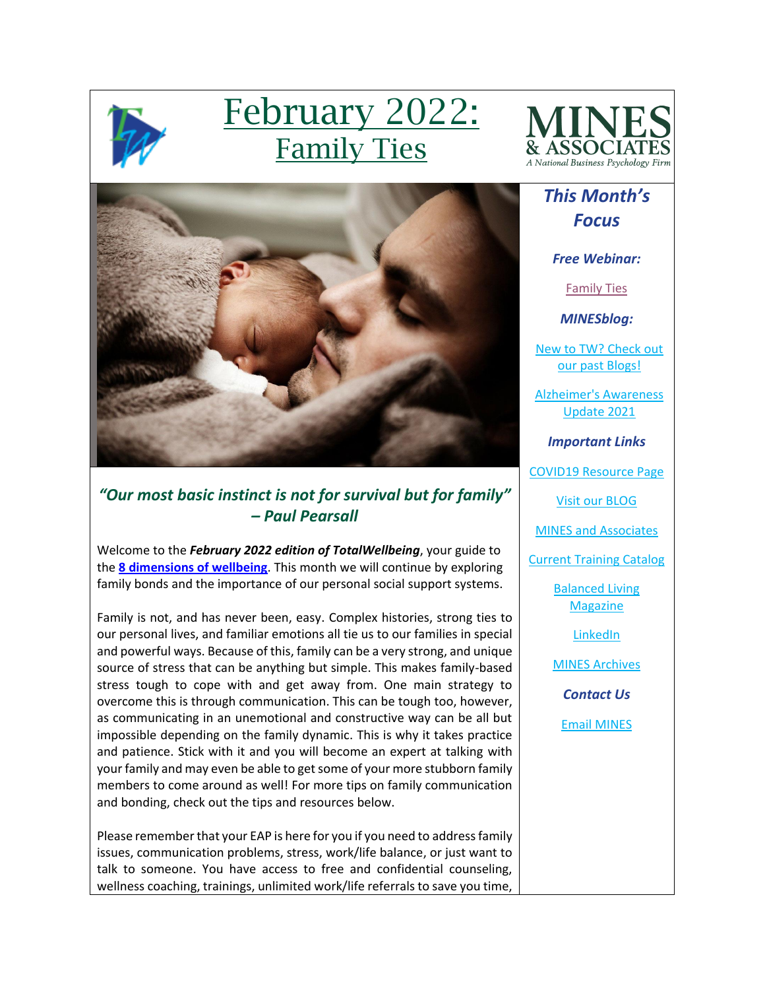

# February 2022: Family Ties



# *This Month's Focus*

*Free Webinar:*

[Family Ties](https://mines.personaladvantage.com/section.jsp?module=section_100)

*MINESblog:*

[New to TW? Check out](https://minesblog.wordpress.com/)  [our past Blogs!](https://minesblog.wordpress.com/)

[Alzheimer's Awareness](https://minesblog.wordpress.com/2021/11/01/mines-and-associates-national-alzheimers-awareness-month-blog-jj-jordan/)  [Update 2021](https://minesblog.wordpress.com/2021/11/01/mines-and-associates-national-alzheimers-awareness-month-blog-jj-jordan/)

*Important Links*

[COVID19 Resource Page](http://www.minesandassociates.com/Covid19_resources.html)

[Visit our BLOG](http://minesblog.wordpress.com/)

[MINES and Associates](http://www.minesandassociates.com/)

[Current Training Catalog](http://www.minesandassociates.com/Training_Main.html)

[Balanced Living](http://www.minesandassociates.com/newsletters.html)  **[Magazine](http://www.minesandassociates.com/newsletters.html)** 

[LinkedIn](https://www.linkedin.com/company/mines-and-associates)

[MINES Archives](http://www.minesandassociates.com/newsletters.html)

*Contact Us* [Email MINES](mailto:communications@MINESandAssociates.com)



## *"Our most basic instinct is not for survival but for family" – Paul Pearsall*

Welcome to the *February 2022 edition of TotalWellbeing*, your guide to the **[8 dimensions of wellbeing](https://www.youtube.com/watch?v=tDzQdRvLAfM)**. This month we will continue by exploring family bonds and the importance of our personal social support systems.

Family is not, and has never been, easy. Complex histories, strong ties to our personal lives, and familiar emotions all tie us to our families in special and powerful ways. Because of this, family can be a very strong, and unique source of stress that can be anything but simple. This makes family-based stress tough to cope with and get away from. One main strategy to overcome this is through communication. This can be tough too, however, as communicating in an unemotional and constructive way can be all but impossible depending on the family dynamic. This is why it takes practice and patience. Stick with it and you will become an expert at talking with your family and may even be able to get some of your more stubborn family members to come around as well! For more tips on family communication and bonding, check out the tips and resources below.

Please remember that your EAP is here for you if you need to address family issues, communication problems, stress, work/life balance, or just want to talk to someone. You have access to free and confidential counseling, wellness coaching, trainings, unlimited work/life referrals to save you time,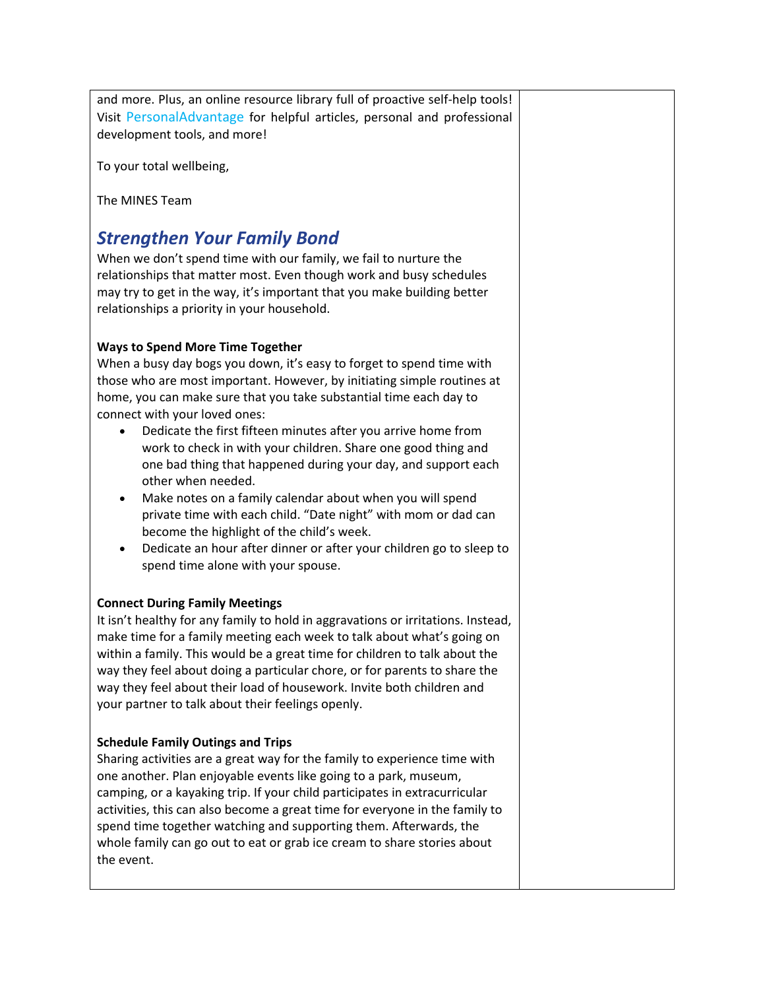and more. Plus, an online resource library full of proactive self-help tools! Visit [PersonalAdvantage](https://mines.personaladvantage.com/) for helpful articles, personal and professional development tools, and more!

To your total wellbeing,

The MINES Team

# *Strengthen Your Family Bond*

When we don't spend time with our family, we fail to nurture the relationships that matter most. Even though work and busy schedules may try to get in the way, it's important that you make building better relationships a priority in your household.

## **Ways to Spend More Time Together**

When a busy day bogs you down, it's easy to forget to spend time with those who are most important. However, by initiating simple routines at home, you can make sure that you take substantial time each day to connect with your loved ones:

- Dedicate the first fifteen minutes after you arrive home from work to check in with your children. Share one good thing and one bad thing that happened during your day, and support each other when needed.
- Make notes on a family calendar about when you will spend private time with each child. "Date night" with mom or dad can become the highlight of the child's week.
- Dedicate an hour after dinner or after your children go to sleep to spend time alone with your spouse.

## **Connect During Family Meetings**

It isn't healthy for any family to hold in aggravations or irritations. Instead, make time for a family meeting each week to talk about what's going on within a family. This would be a great time for children to talk about the way they feel about doing a particular chore, or for parents to share the way they feel about their load of housework. Invite both children and your partner to talk about their feelings openly.

## **Schedule Family Outings and Trips**

Sharing activities are a great way for the family to experience time with one another. Plan enjoyable events like going to a park, museum, camping, or a kayaking trip. If your child participates in extracurricular activities, this can also become a great time for everyone in the family to spend time together watching and supporting them. Afterwards, the whole family can go out to eat or grab ice cream to share stories about the event.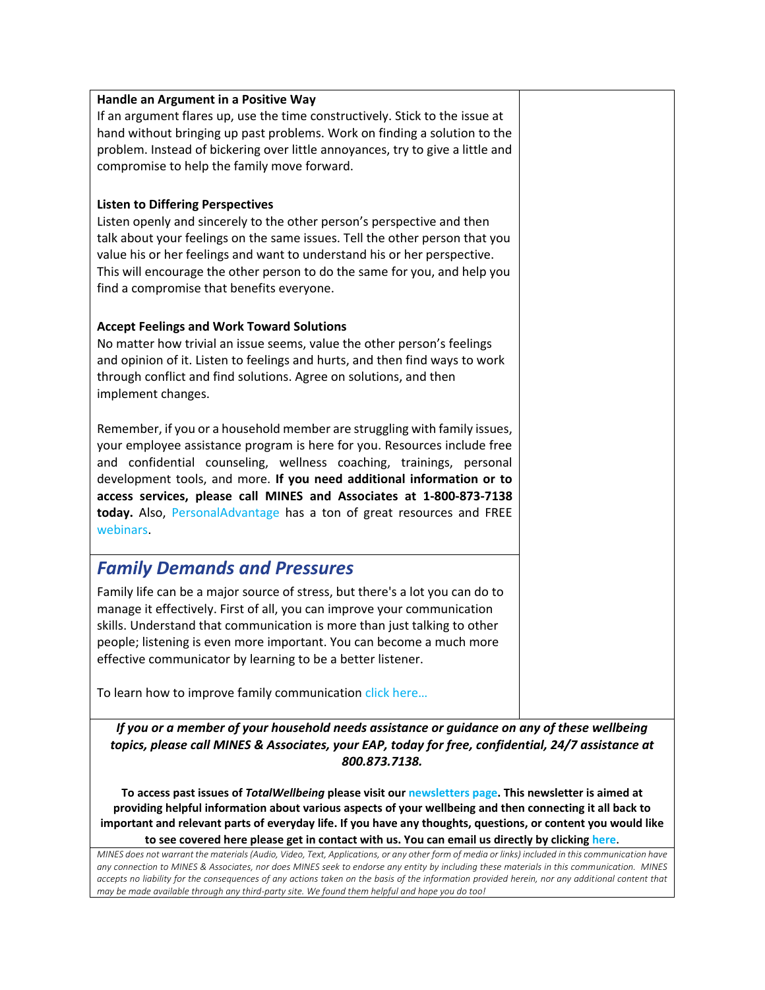#### **Handle an Argument in a Positive Way**

If an argument flares up, use the time constructively. Stick to the issue at hand without bringing up past problems. Work on finding a solution to the problem. Instead of bickering over little annoyances, try to give a little and compromise to help the family move forward.

#### **Listen to Differing Perspectives**

Listen openly and sincerely to the other person's perspective and then talk about your feelings on the same issues. Tell the other person that you value his or her feelings and want to understand his or her perspective. This will encourage the other person to do the same for you, and help you find a compromise that benefits everyone.

#### **Accept Feelings and Work Toward Solutions**

No matter how trivial an issue seems, value the other person's feelings and opinion of it. Listen to feelings and hurts, and then find ways to work through conflict and find solutions. Agree on solutions, and then implement changes.

Remember, if you or a household member are struggling with family issues, your employee assistance program is here for you. Resources include free and confidential counseling, wellness coaching, trainings, personal development tools, and more. **If you need additional information or to access services, please call MINES and Associates at 1-800-873-7138 today.** Also, [PersonalAdvantage](https://mines.personaladvantage.com/) has a ton of great resources and FREE [webinars.](https://mines.personaladvantage.com/section.jsp?module=section_100)

# *Family Demands and Pressures*

Family life can be a major source of stress, but there's a lot you can do to manage it effectively. First of all, you can improve your communication skills. Understand that communication is more than just talking to other people; listening is even more important. You can become a much more effective communicator by learning to be a better listener.

To learn how to improve family communication click here...

*If you or a member of your household needs assistance or guidance on any of these wellbeing topics, please call MINES & Associates, your EAP, today for free, confidential, 24/7 assistance at 800.873.7138.*

**To access past issues of** *TotalWellbeing* **please visit our [newsletters page.](http://www.minesandassociates.com/newsletters.html) This newsletter is aimed at providing helpful information about various aspects of your wellbeing and then connecting it all back to important and relevant parts of everyday life. If you have any thoughts, questions, or content you would like to see covered here please get in contact with us. You can email us directly by clicking [here](mailto:communications@MINESandAssociates.com)**.

*MINES does not warrant the materials (Audio, Video, Text, Applications, or any other form of media or links) included in this communication have any connection to MINES & Associates, nor does MINES seek to endorse any entity by including these materials in this communication. MINES*  accepts no liability for the consequences of any actions taken on the basis of the information provided herein, nor any additional content that *may be made available through any third-party site. We found them helpful and hope you do too!*